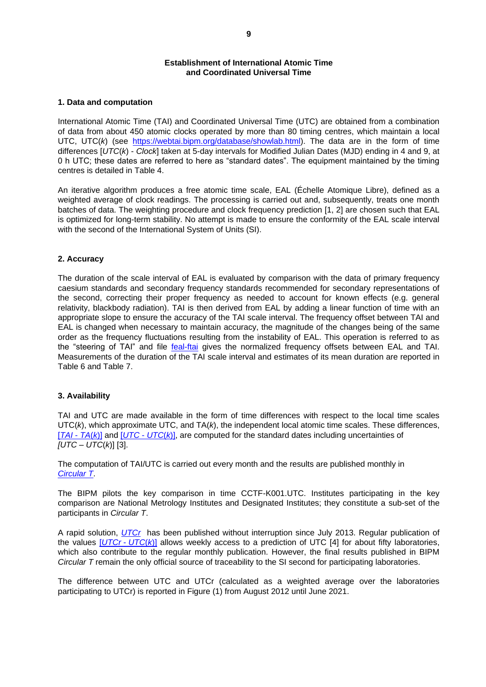# **Establishment of International Atomic Time and Coordinated Universal Time**

### **1. Data and computation**

International Atomic Time (TAI) and Coordinated Universal Time (UTC) are obtained from a combination of data from about 450 atomic clocks operated by more than 80 timing centres, which maintain a local UTC, UTC(*k*) (see [https://webtai.bipm.org/database/showlab.html\)](https://webtai.bipm.org/database/showlab.html). The data are in the form of time differences [*UTC*(*k*) - *Clock*] taken at 5-day intervals for Modified Julian Dates (MJD) ending in 4 and 9, at 0 h UTC; these dates are referred to here as "standard dates". The equipment maintained by the timing centres is detailed in Table 4.

An iterative algorithm produces a free atomic time scale, EAL (Échelle Atomique Libre), defined as a weighted average of clock readings. The processing is carried out and, subsequently, treats one month batches of data. The weighting procedure and clock frequency prediction [1, 2] are chosen such that EAL is optimized for long-term stability. No attempt is made to ensure the conformity of the EAL scale interval with the second of the International System of Units (SI).

### **2. Accuracy**

The duration of the scale interval of EAL is evaluated by comparison with the data of primary frequency caesium standards and secondary frequency standards recommended for secondary representations of the second, correcting their proper frequency as needed to account for known effects (e.g. general relativity, blackbody radiation). TAI is then derived from EAL by adding a linear function of time with an appropriate slope to ensure the accuracy of the TAI scale interval. The frequency offset between TAI and EAL is changed when necessary to maintain accuracy, the magnitude of the changes being of the same order as the frequency fluctuations resulting from the instability of EAL. This operation is referred to as the "steering of TAI" and file [feal-ftai](https://webtai.bipm.org/ftp/pub/tai/other-products/ealtai/feal-ftai) gives the normalized frequency offsets between EAL and TAI. Measurements of the duration of the TAI scale interval and estimates of its mean duration are reported in Table 6 and Table 7.

#### **3. Availability**

TAI and UTC are made available in the form of time differences with respect to the local time scales UTC(*k*), which approximate UTC, and TA(*k*), the independent local atomic time scales. These differences, [*[TAI](https://webtai.bipm.org/ftp/pub/tai/other-products/tailab/)* - *TA*(*k*)] and [*UTC* - *[UTC](https://webtai.bipm.org/ftp/pub/tai/other-products/utclab/)*(*k*)], are computed for the standard dates including uncertainties of *[UTC* – *UTC*(*k*)] [3].

The computation of TAI/UTC is carried out every month and the results are published monthly in *[Circular](https://webtai.bipm.org/ftp/pub/tai/Circular-T/cirt/) T*.

The BIPM pilots the key comparison in time CCTF-K001.UTC. Institutes participating in the key comparison are National Metrology Institutes and Designated Institutes; they constitute a sub-set of the participants in *Circular T*.

A rapid solution, *[UTCr](https://webtai.bipm.org/ftp/pub/tai/Rapid-UTC/utcr/)* has been published without interruption since July 2013. Regular publication of the values [*[UTCr](https://webtai.bipm.org/ftp/pub/tai/other-products/utcrlab/)* - *UTC*(*k*)] allows weekly access to a prediction of UTC [4] for about fifty laboratories, which also contribute to the regular monthly publication. However, the final results published in BIPM *Circular T* remain the only official source of traceability to the SI second for participating laboratories.

The difference between UTC and UTCr (calculated as a weighted average over the laboratories participating to UTCr) is reported in Figure (1) from August 2012 until June 2021.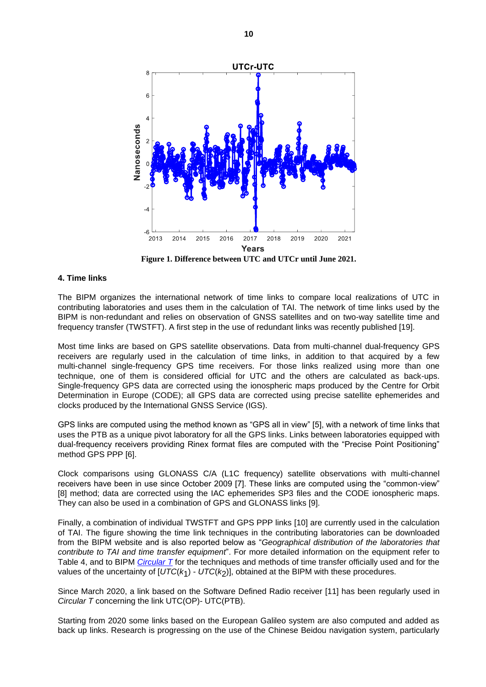

**Figure 1. Difference between UTC and UTCr until June 2021.**

#### **4. Time links**

The BIPM organizes the international network of time links to compare local realizations of UTC in contributing laboratories and uses them in the calculation of TAI. The network of time links used by the BIPM is non-redundant and relies on observation of GNSS satellites and on two-way satellite time and frequency transfer (TWSTFT). A first step in the use of redundant links was recently published [19].

Most time links are based on GPS satellite observations. Data from multi-channel dual-frequency GPS receivers are regularly used in the calculation of time links, in addition to that acquired by a few multi-channel single-frequency GPS time receivers. For those links realized using more than one technique, one of them is considered official for UTC and the others are calculated as back-ups. Single-frequency GPS data are corrected using the ionospheric maps produced by the Centre for Orbit Determination in Europe (CODE); all GPS data are corrected using precise satellite ephemerides and clocks produced by the International GNSS Service (IGS).

GPS links are computed using the method known as "GPS all in view" [5], with a network of time links that uses the PTB as a unique pivot laboratory for all the GPS links. Links between laboratories equipped with dual-frequency receivers providing Rinex format files are computed with the "Precise Point Positioning" method GPS PPP [6].

Clock comparisons using GLONASS C/A (L1C frequency) satellite observations with multi-channel receivers have been in use since October 2009 [7]. These links are computed using the "common-view" [8] method; data are corrected using the IAC ephemerides SP3 files and the CODE ionospheric maps. They can also be used in a combination of GPS and GLONASS links [9].

Finally, a combination of individual TWSTFT and GPS PPP links [10] are currently used in the calculation of TAI. The figure showing the time link techniques in the contributing laboratories can be downloaded from the BIPM website and is also reported below as "*Geographical distribution of the laboratories that contribute to TAI and time transfer equipment*". For more detailed information on the equipment refer to Table 4, and to BIPM *[Circular](https://webtai.bipm.org/ftp/pub/tai/Circular-T/cirt/) T* for the techniques and methods of time transfer officially used and for the values of the uncertainty of  $[UTC(k<sub>1</sub>) - UTC(k<sub>2</sub>)]$ , obtained at the BIPM with these procedures.

Since March 2020, a link based on the Software Defined Radio receiver [11] has been regularly used in *Circular T* concerning the link UTC(OP)- UTC(PTB).

Starting from 2020 some links based on the European Galileo system are also computed and added as back up links. Research is progressing on the use of the Chinese Beidou navigation system, particularly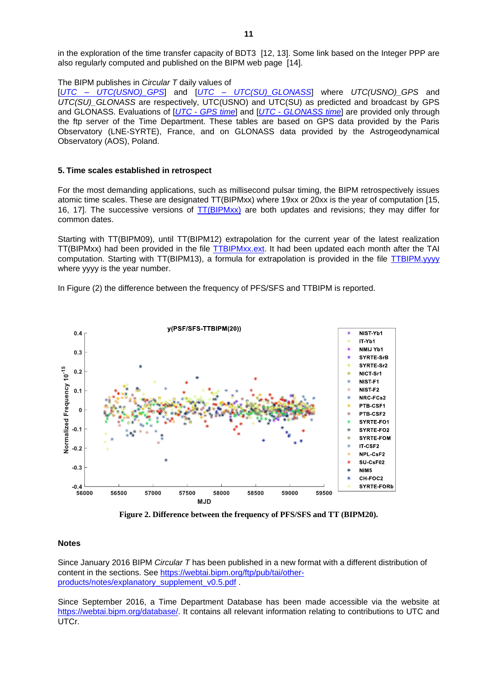in the exploration of the time transfer capacity of BDT3 [12, 13]. Some link based on the Integer PPP are also regularly computed and published on the BIPM web page [14].

The BIPM publishes in *Circular T* daily values of

[*UTC* – *[UTC\(USNO\)\\_GPS](https://webtai.bipm.org/ftp/pub/tai/other-products/utcgnss/utc-gnss)*] and [*UTC* – *[UTC\(SU\)\\_GLONASS](https://webtai.bipm.org/ftp/pub/tai/other-products/utcgnss/utc-gnss)*] where *UTC(USNO)\_GPS* and *UTC(SU)\_GLONASS* are respectively, UTC(USNO) and UTC(SU) as predicted and broadcast by GPS and GLONASS. Evaluations of [*UTC* - *[GPS](https://webtai.bipm.org/ftp/pub/tai/other-products/utcgnss/utc-gnss) time*] and [*UTC* - *[GLONASS](https://webtai.bipm.org/ftp/pub/tai/other-products/utcgnss/utc-gnss) time*] are provided only through the ftp server of the Time Department. These tables are based on GPS data provided by the Paris Observatory (LNE-SYRTE), France, and on GLONASS data provided by the Astrogeodynamical Observatory (AOS), Poland.

# **5. Time scales established in retrospect**

For the most demanding applications, such as millisecond pulsar timing, the BIPM retrospectively issues atomic time scales. These are designated TT(BIPMxx) where 19xx or 20xx is the year of computation [15, 16, 17]. The successive versions of  $TT(BIPMxx)$  are both updates and revisions; they may differ for common dates.

Starting with TT(BIPM09), until TT(BIPM12) extrapolation for the current year of the latest realization TT(BIPMxx) had been provided in the file [TTBIPMxx.](https://webtai.bipm.org/ftp/pub/tai/ttbipm/)ext. It had been updated each month after the TAI computation. Starting with TT(BIPM13), a formula for extrapolation is provided in the file [TTBIPM.yyyy](https://webtai.bipm.org/ftp/pub/tai/ttbipm/) where yyyy is the year number.

In Figure (2) the difference between the frequency of PFS/SFS and TTBIPM is reported.



**Figure 2. Difference between the frequency of PFS/SFS and TT (BIPM20).**

#### **Notes**

Since January 2016 BIPM *Circular T* has been published in a new format with a different distribution of content in the sections. See [https://webtai.bipm.org/ftp/pub/tai/other](https://webtai.bipm.org/ftp/pub/tai/other-products/notes/explanatory_supplement_v0.5.pdf)[products/notes/explanatory\\_supplement\\_v0.5.pdf](https://webtai.bipm.org/ftp/pub/tai/other-products/notes/explanatory_supplement_v0.5.pdf) .

Since September 2016, a Time Department Database has been made accessible via the website at [https://webtai.bipm.org/database/.](https://webtai.bipm.org/database/) It contains all relevant information relating to contributions to UTC and UTCr.